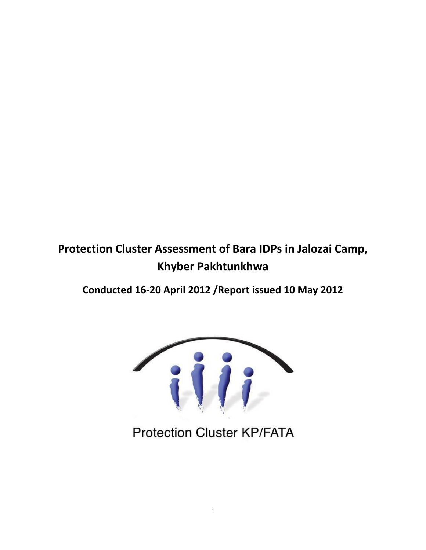# **Protection Cluster Assessment of Bara IDPs in Jalozai Camp, Khyber Pakhtunkhwa**

**Conducted 16-20 April 2012 /Report issued 10 May 2012**



**Protection Cluster KP/FATA**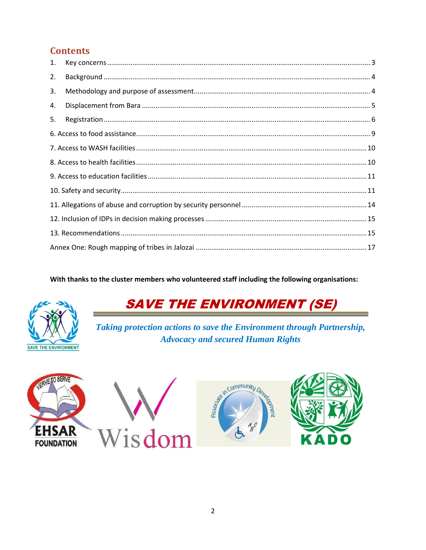## **Contents**

| 1. |                                                                                                                                                                                                                                                                                                                                                                                          |  |  |  |  |
|----|------------------------------------------------------------------------------------------------------------------------------------------------------------------------------------------------------------------------------------------------------------------------------------------------------------------------------------------------------------------------------------------|--|--|--|--|
| 2. |                                                                                                                                                                                                                                                                                                                                                                                          |  |  |  |  |
| 3. |                                                                                                                                                                                                                                                                                                                                                                                          |  |  |  |  |
| 4. |                                                                                                                                                                                                                                                                                                                                                                                          |  |  |  |  |
| 5. | $\label{eq:q:reg} \textit{Region} \textit{} \textit{} \textit{} \textit{} \textit{} \textit{} \textit{} \textit{} \textit{} \textit{} \textit{} \textit{} \textit{} \textit{} \textit{} \textit{} \textit{} \textit{} \textit{} \textit{} \textit{} \textit{} \textit{} \textit{} \textit{} \textit{} \textit{} \textit{} \textit{} \textit{} \textit{} \textit{} \textit{} \textit{} \$ |  |  |  |  |
|    |                                                                                                                                                                                                                                                                                                                                                                                          |  |  |  |  |
|    |                                                                                                                                                                                                                                                                                                                                                                                          |  |  |  |  |
|    |                                                                                                                                                                                                                                                                                                                                                                                          |  |  |  |  |
|    |                                                                                                                                                                                                                                                                                                                                                                                          |  |  |  |  |
|    |                                                                                                                                                                                                                                                                                                                                                                                          |  |  |  |  |
|    |                                                                                                                                                                                                                                                                                                                                                                                          |  |  |  |  |
|    |                                                                                                                                                                                                                                                                                                                                                                                          |  |  |  |  |
|    |                                                                                                                                                                                                                                                                                                                                                                                          |  |  |  |  |
|    |                                                                                                                                                                                                                                                                                                                                                                                          |  |  |  |  |

With thanks to the cluster members who volunteered staff including the following organisations:



# **SAVE THE ENVIRONMENT (SE)**

Taking protection actions to save the Environment through Partnership, **Advocacy and secured Human Rights** 



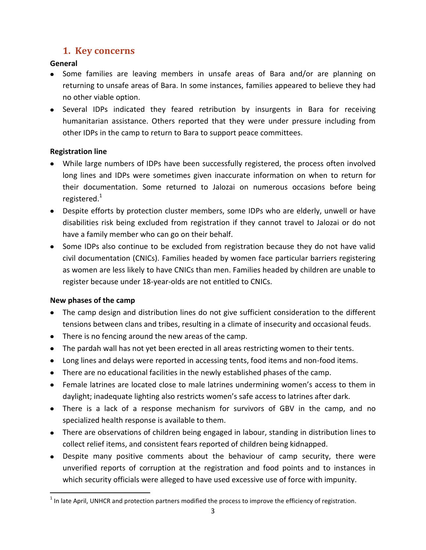### **1. Key concerns**

### <span id="page-2-0"></span>**General**

- Some families are leaving members in unsafe areas of Bara and/or are planning on returning to unsafe areas of Bara. In some instances, families appeared to believe they had no other viable option.
- Several IDPs indicated they feared retribution by insurgents in Bara for receiving humanitarian assistance. Others reported that they were under pressure including from other IDPs in the camp to return to Bara to support peace committees.

### **Registration line**

- While large numbers of IDPs have been successfully registered, the process often involved long lines and IDPs were sometimes given inaccurate information on when to return for their documentation. Some returned to Jalozai on numerous occasions before being registered. $^1$
- Despite efforts by protection cluster members, some IDPs who are elderly, unwell or have disabilities risk being excluded from registration if they cannot travel to Jalozai or do not have a family member who can go on their behalf.
- Some IDPs also continue to be excluded from registration because they do not have valid civil documentation (CNICs). Families headed by women face particular barriers registering as women are less likely to have CNICs than men. Families headed by children are unable to register because under 18-year-olds are not entitled to CNICs.

#### **New phases of the camp**

- The camp design and distribution lines do not give sufficient consideration to the different tensions between clans and tribes, resulting in a climate of insecurity and occasional feuds.
- There is no fencing around the new areas of the camp.
- The pardah wall has not yet been erected in all areas restricting women to their tents.
- Long lines and delays were reported in accessing tents, food items and non-food items.
- There are no educational facilities in the newly established phases of the camp.
- Female latrines are located close to male latrines undermining women's access to them in daylight; inadequate lighting also restricts women's safe access to latrines after dark.
- There is a lack of a response mechanism for survivors of GBV in the camp, and no specialized health response is available to them.
- There are observations of children being engaged in labour, standing in distribution lines to collect relief items, and consistent fears reported of children being kidnapped.
- Despite many positive comments about the behaviour of camp security, there were unverified reports of corruption at the registration and food points and to instances in which security officials were alleged to have used excessive use of force with impunity.

**The late April, UNHCR and protection partners modified the process to improve the efficiency of registration.**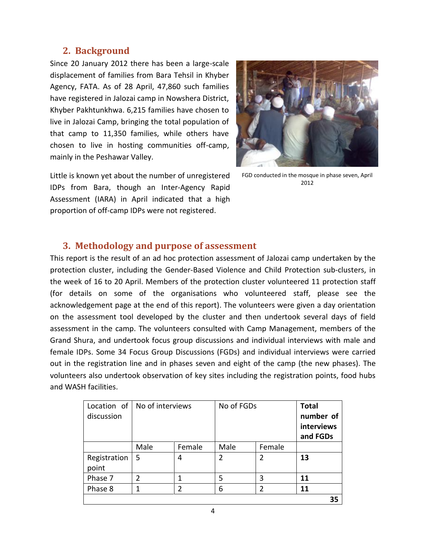### <span id="page-3-0"></span>**2. Background**

Since 20 January 2012 there has been a large-scale displacement of families from Bara Tehsil in Khyber Agency, FATA. As of 28 April, 47,860 such families have registered in Jalozai camp in Nowshera District, Khyber Pakhtunkhwa. 6,215 families have chosen to live in Jalozai Camp, bringing the total population of that camp to 11,350 families, while others have chosen to live in hosting communities off-camp, mainly in the Peshawar Valley.



Little is known yet about the number of unregistered IDPs from Bara, though an Inter-Agency Rapid Assessment (IARA) in April indicated that a high proportion of off-camp IDPs were not registered.

FGD conducted in the mosque in phase seven, April 2012

### <span id="page-3-1"></span>**3. Methodology and purpose of assessment**

This report is the result of an ad hoc protection assessment of Jalozai camp undertaken by the protection cluster, including the Gender-Based Violence and Child Protection sub-clusters, in the week of 16 to 20 April. Members of the protection cluster volunteered 11 protection staff (for details on some of the organisations who volunteered staff, please see the acknowledgement page at the end of this report). The volunteers were given a day orientation on the assessment tool developed by the cluster and then undertook several days of field assessment in the camp. The volunteers consulted with Camp Management, members of the Grand Shura, and undertook focus group discussions and individual interviews with male and female IDPs. Some 34 Focus Group Discussions (FGDs) and individual interviews were carried out in the registration line and in phases seven and eight of the camp (the new phases). The volunteers also undertook observation of key sites including the registration points, food hubs and WASH facilities.

| discussion            | Location of   No of interviews |               | No of FGDs     |                | <b>Total</b><br>number of<br>interviews<br>and FGDs |
|-----------------------|--------------------------------|---------------|----------------|----------------|-----------------------------------------------------|
|                       | Male                           | Female        | Male           | Female         |                                                     |
| Registration<br>point | 5                              | 4             | $\overline{2}$ | $\overline{2}$ | 13                                                  |
| Phase 7               | 2                              |               | 5              | 3              | 11                                                  |
| Phase 8               |                                | $\mathfrak z$ | 6              | $\mathfrak z$  | 11                                                  |
|                       |                                |               |                |                | 35                                                  |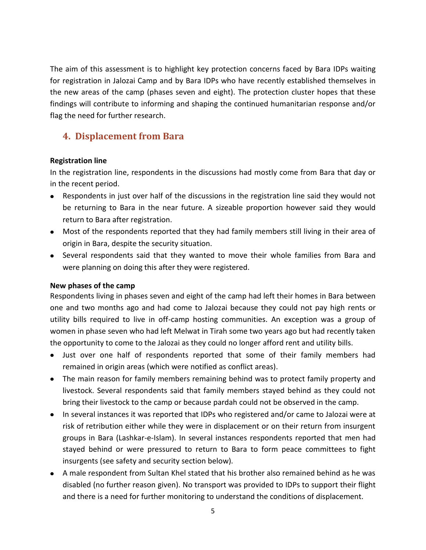The aim of this assessment is to highlight key protection concerns faced by Bara IDPs waiting for registration in Jalozai Camp and by Bara IDPs who have recently established themselves in the new areas of the camp (phases seven and eight). The protection cluster hopes that these findings will contribute to informing and shaping the continued humanitarian response and/or flag the need for further research.

### <span id="page-4-0"></span>**4. Displacement from Bara**

#### **Registration line**

In the registration line, respondents in the discussions had mostly come from Bara that day or in the recent period.

- Respondents in just over half of the discussions in the registration line said they would not be returning to Bara in the near future. A sizeable proportion however said they would return to Bara after registration.
- Most of the respondents reported that they had family members still living in their area of origin in Bara, despite the security situation.
- Several respondents said that they wanted to move their whole families from Bara and were planning on doing this after they were registered.

#### **New phases of the camp**

Respondents living in phases seven and eight of the camp had left their homes in Bara between one and two months ago and had come to Jalozai because they could not pay high rents or utility bills required to live in off-camp hosting communities. An exception was a group of women in phase seven who had left Melwat in Tirah some two years ago but had recently taken the opportunity to come to the Jalozai as they could no longer afford rent and utility bills.

- Just over one half of respondents reported that some of their family members had remained in origin areas (which were notified as conflict areas).
- The main reason for family members remaining behind was to protect family property and livestock. Several respondents said that family members stayed behind as they could not bring their livestock to the camp or because pardah could not be observed in the camp.
- In several instances it was reported that IDPs who registered and/or came to Jalozai were at risk of retribution either while they were in displacement or on their return from insurgent groups in Bara (Lashkar-e-Islam). In several instances respondents reported that men had stayed behind or were pressured to return to Bara to form peace committees to fight insurgents (see safety and security section below).
- A male respondent from Sultan Khel stated that his brother also remained behind as he was disabled (no further reason given). No transport was provided to IDPs to support their flight and there is a need for further monitoring to understand the conditions of displacement.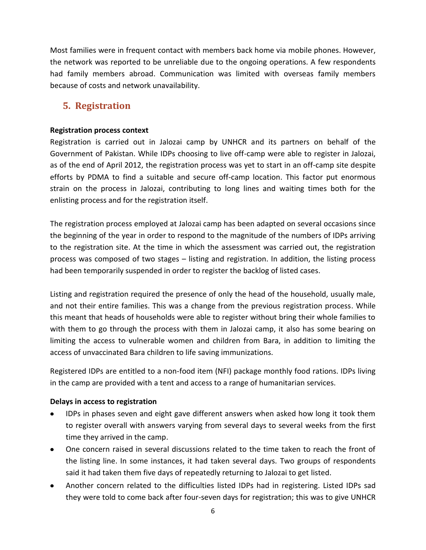Most families were in frequent contact with members back home via mobile phones. However, the network was reported to be unreliable due to the ongoing operations. A few respondents had family members abroad. Communication was limited with overseas family members because of costs and network unavailability.

### <span id="page-5-0"></span>**5. Registration**

#### **Registration process context**

Registration is carried out in Jalozai camp by UNHCR and its partners on behalf of the Government of Pakistan. While IDPs choosing to live off-camp were able to register in Jalozai, as of the end of April 2012, the registration process was yet to start in an off-camp site despite efforts by PDMA to find a suitable and secure off-camp location. This factor put enormous strain on the process in Jalozai, contributing to long lines and waiting times both for the enlisting process and for the registration itself.

The registration process employed at Jalozai camp has been adapted on several occasions since the beginning of the year in order to respond to the magnitude of the numbers of IDPs arriving to the registration site. At the time in which the assessment was carried out, the registration process was composed of two stages – listing and registration. In addition, the listing process had been temporarily suspended in order to register the backlog of listed cases.

Listing and registration required the presence of only the head of the household, usually male, and not their entire families. This was a change from the previous registration process. While this meant that heads of households were able to register without bring their whole families to with them to go through the process with them in Jalozai camp, it also has some bearing on limiting the access to vulnerable women and children from Bara, in addition to limiting the access of unvaccinated Bara children to life saving immunizations.

Registered IDPs are entitled to a non-food item (NFI) package monthly food rations. IDPs living in the camp are provided with a tent and access to a range of humanitarian services.

#### **Delays in access to registration**

- IDPs in phases seven and eight gave different answers when asked how long it took them to register overall with answers varying from several days to several weeks from the first time they arrived in the camp.
- One concern raised in several discussions related to the time taken to reach the front of the listing line. In some instances, it had taken several days. Two groups of respondents said it had taken them five days of repeatedly returning to Jalozai to get listed.
- Another concern related to the difficulties listed IDPs had in registering. Listed IDPs sad they were told to come back after four-seven days for registration; this was to give UNHCR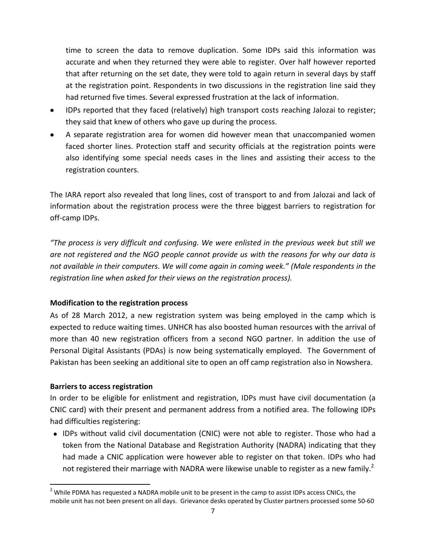time to screen the data to remove duplication. Some IDPs said this information was accurate and when they returned they were able to register. Over half however reported that after returning on the set date, they were told to again return in several days by staff at the registration point. Respondents in two discussions in the registration line said they had returned five times. Several expressed frustration at the lack of information.

- IDPs reported that they faced (relatively) high transport costs reaching Jalozai to register; they said that knew of others who gave up during the process.
- A separate registration area for women did however mean that unaccompanied women faced shorter lines. Protection staff and security officials at the registration points were also identifying some special needs cases in the lines and assisting their access to the registration counters.

The IARA report also revealed that long lines, cost of transport to and from Jalozai and lack of information about the registration process were the three biggest barriers to registration for off-camp IDPs.

*"The process is very difficult and confusing. We were enlisted in the previous week but still we are not registered and the NGO people cannot provide us with the reasons for why our data is not available in their computers. We will come again in coming week." (Male respondents in the registration line when asked for their views on the registration process).* 

#### **Modification to the registration process**

As of 28 March 2012, a new registration system was being employed in the camp which is expected to reduce waiting times. UNHCR has also boosted human resources with the arrival of more than 40 new registration officers from a second NGO partner. In addition the use of Personal Digital Assistants (PDAs) is now being systematically employed. The Government of Pakistan has been seeking an additional site to open an off camp registration also in Nowshera.

#### **Barriers to access registration**

 $\overline{\phantom{a}}$ 

In order to be eligible for enlistment and registration, IDPs must have civil documentation (a CNIC card) with their present and permanent address from a notified area. The following IDPs had difficulties registering:

IDPs without valid civil documentation (CNIC) were not able to register. Those who had a token from the National Database and Registration Authority (NADRA) indicating that they had made a CNIC application were however able to register on that token. IDPs who had not registered their marriage with NADRA were likewise unable to register as a new family.<sup>2</sup>

<sup>&</sup>lt;sup>2</sup> While PDMA has requested a NADRA mobile unit to be present in the camp to assist IDPs access CNICs, the mobile unit has not been present on all days. Grievance desks operated by Cluster partners processed some 50-60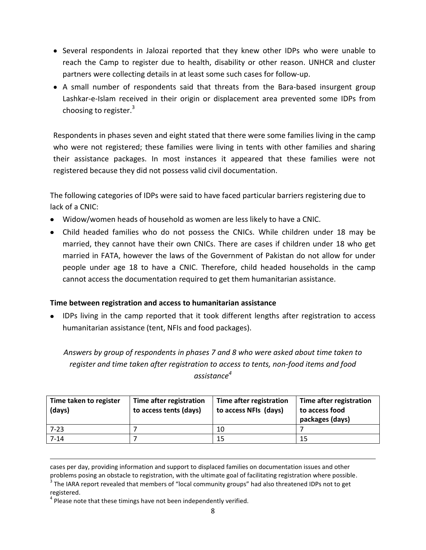- Several respondents in Jalozai reported that they knew other IDPs who were unable to reach the Camp to register due to health, disability or other reason. UNHCR and cluster partners were collecting details in at least some such cases for follow-up.
- A small number of respondents said that threats from the Bara-based insurgent group Lashkar-e-Islam received in their origin or displacement area prevented some IDPs from choosing to register.<sup>3</sup>

Respondents in phases seven and eight stated that there were some families living in the camp who were not registered; these families were living in tents with other families and sharing their assistance packages. In most instances it appeared that these families were not registered because they did not possess valid civil documentation.

The following categories of IDPs were said to have faced particular barriers registering due to lack of a CNIC:

- Widow/women heads of household as women are less likely to have a CNIC.
- Child headed families who do not possess the CNICs. While children under 18 may be married, they cannot have their own CNICs. There are cases if children under 18 who get married in FATA, however the laws of the Government of Pakistan do not allow for under people under age 18 to have a CNIC. Therefore, child headed households in the camp cannot access the documentation required to get them humanitarian assistance.

#### **Time between registration and access to humanitarian assistance**

• IDPs living in the camp reported that it took different lengths after registration to access humanitarian assistance (tent, NFIs and food packages).

*Answers by group of respondents in phases 7 and 8 who were asked about time taken to register and time taken after registration to access to tents, non-food items and food assistance<sup>4</sup>*

| Time taken to register<br>(days) | Time after registration<br>to access tents (days) | Time after registration<br>to access NFIs (days) | Time after registration<br>to access food<br>packages (days) |
|----------------------------------|---------------------------------------------------|--------------------------------------------------|--------------------------------------------------------------|
| $7 - 23$                         |                                                   | 10                                               |                                                              |
| $7 - 14$                         |                                                   | 15                                               | 15                                                           |

cases per day, providing information and support to displaced families on documentation issues and other problems posing an obstacle to registration, with the ultimate goal of facilitating registration where possible.

 $\overline{\phantom{a}}$ 

 $3$  The IARA report revealed that members of "local community groups" had also threatened IDPs not to get registered.

 $<sup>4</sup>$  Please note that these timings have not been independently verified.</sup>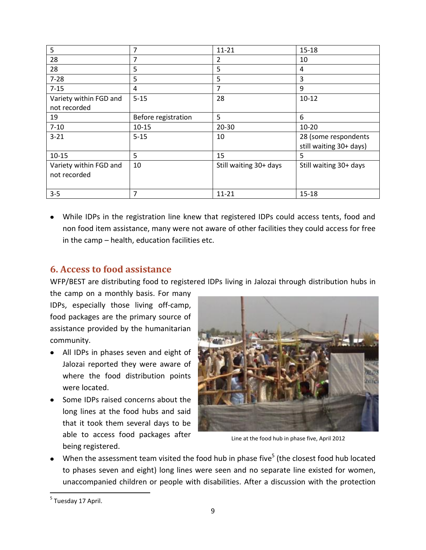| 5                      | 7                   | $11 - 21$              | $15 - 18$               |
|------------------------|---------------------|------------------------|-------------------------|
| 28                     | 7                   | 2                      | 10                      |
| 28                     | 5                   | 5                      | 4                       |
| $7 - 28$               | 5                   | 5                      | 3                       |
| $7 - 15$               | 4                   | 7                      | 9                       |
| Variety within FGD and | $5 - 15$            | 28                     | $10-12$                 |
| not recorded           |                     |                        |                         |
| 19                     | Before registration | 5                      | 6                       |
| $7 - 10$               | $10 - 15$           | $20 - 30$              | $10 - 20$               |
| $3 - 21$               | $5 - 15$            | 10                     | 28 (some respondents    |
|                        |                     |                        | still waiting 30+ days) |
| $10 - 15$              | 5                   | 15                     | 5                       |
| Variety within FGD and | 10                  | Still waiting 30+ days | Still waiting 30+ days  |
| not recorded           |                     |                        |                         |
|                        |                     |                        |                         |
| $3 - 5$                | 7                   | $11 - 21$              | 15-18                   |

While IDPs in the registration line knew that registered IDPs could access tents, food and non food item assistance, many were not aware of other facilities they could access for free in the camp – health, education facilities etc.

### <span id="page-8-0"></span>**6. Access to food assistance**

WFP/BEST are distributing food to registered IDPs living in Jalozai through distribution hubs in

the camp on a monthly basis. For many IDPs, especially those living off-camp, food packages are the primary source of assistance provided by the humanitarian community.

- All IDPs in phases seven and eight of Jalozai reported they were aware of where the food distribution points were located.
- Some IDPs raised concerns about the long lines at the food hubs and said that it took them several days to be able to access food packages after being registered.



Line at the food hub in phase five, April 2012

When the assessment team visited the food hub in phase five<sup>5</sup> (the closest food hub located to phases seven and eight) long lines were seen and no separate line existed for women, unaccompanied children or people with disabilities. After a discussion with the protection

<sup>&</sup>lt;sup>5</sup> Tuesday 17 April.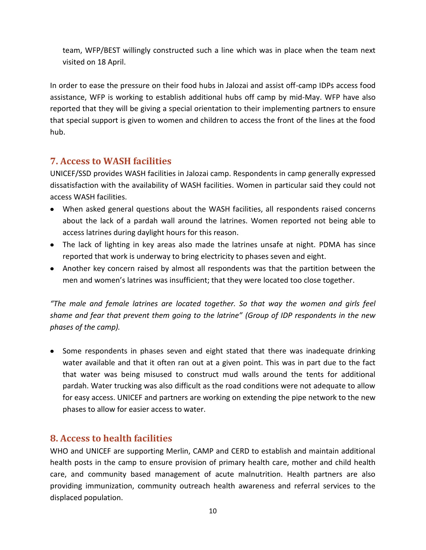team, WFP/BEST willingly constructed such a line which was in place when the team next visited on 18 April.

In order to ease the pressure on their food hubs in Jalozai and assist off-camp IDPs access food assistance, WFP is working to establish additional hubs off camp by mid-May. WFP have also reported that they will be giving a special orientation to their implementing partners to ensure that special support is given to women and children to access the front of the lines at the food hub.

### <span id="page-9-0"></span>**7. Access to WASH facilities**

UNICEF/SSD provides WASH facilities in Jalozai camp. Respondents in camp generally expressed dissatisfaction with the availability of WASH facilities. Women in particular said they could not access WASH facilities.

- When asked general questions about the WASH facilities, all respondents raised concerns about the lack of a pardah wall around the latrines. Women reported not being able to access latrines during daylight hours for this reason.
- The lack of lighting in key areas also made the latrines unsafe at night. PDMA has since reported that work is underway to bring electricity to phases seven and eight.
- Another key concern raised by almost all respondents was that the partition between the men and women's latrines was insufficient; that they were located too close together.

*"The male and female latrines are located together. So that way the women and girls feel shame and fear that prevent them going to the latrine" (Group of IDP respondents in the new phases of the camp).* 

• Some respondents in phases seven and eight stated that there was inadequate drinking water available and that it often ran out at a given point. This was in part due to the fact that water was being misused to construct mud walls around the tents for additional pardah. Water trucking was also difficult as the road conditions were not adequate to allow for easy access. UNICEF and partners are working on extending the pipe network to the new phases to allow for easier access to water.

### <span id="page-9-1"></span>**8. Access to health facilities**

WHO and UNICEF are supporting Merlin, CAMP and CERD to establish and maintain additional health posts in the camp to ensure provision of primary health care, mother and child health care, and community based management of acute malnutrition. Health partners are also providing immunization, community outreach health awareness and referral services to the displaced population.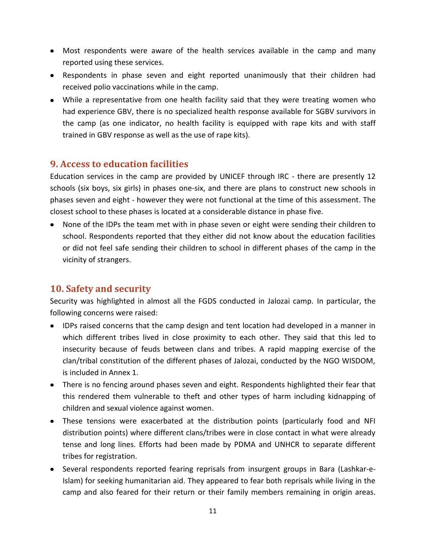- Most respondents were aware of the health services available in the camp and many reported using these services.
- Respondents in phase seven and eight reported unanimously that their children had received polio vaccinations while in the camp.
- While a representative from one health facility said that they were treating women who had experience GBV, there is no specialized health response available for SGBV survivors in the camp (as one indicator, no health facility is equipped with rape kits and with staff trained in GBV response as well as the use of rape kits).

### <span id="page-10-0"></span>**9. Access to education facilities**

Education services in the camp are provided by UNICEF through IRC - there are presently 12 schools (six boys, six girls) in phases one-six, and there are plans to construct new schools in phases seven and eight - however they were not functional at the time of this assessment. The closest school to these phases is located at a considerable distance in phase five.

• None of the IDPs the team met with in phase seven or eight were sending their children to school. Respondents reported that they either did not know about the education facilities or did not feel safe sending their children to school in different phases of the camp in the vicinity of strangers.

### <span id="page-10-1"></span>**10. Safety and security**

Security was highlighted in almost all the FGDS conducted in Jalozai camp. In particular, the following concerns were raised:

- IDPs raised concerns that the camp design and tent location had developed in a manner in which different tribes lived in close proximity to each other. They said that this led to insecurity because of feuds between clans and tribes. A rapid mapping exercise of the clan/tribal constitution of the different phases of Jalozai, conducted by the NGO WISDOM, is included in Annex 1.
- There is no fencing around phases seven and eight. Respondents highlighted their fear that this rendered them vulnerable to theft and other types of harm including kidnapping of children and sexual violence against women.
- These tensions were exacerbated at the distribution points (particularly food and NFI distribution points) where different clans/tribes were in close contact in what were already tense and long lines. Efforts had been made by PDMA and UNHCR to separate different tribes for registration.
- Several respondents reported fearing reprisals from insurgent groups in Bara (Lashkar-e-Islam) for seeking humanitarian aid. They appeared to fear both reprisals while living in the camp and also feared for their return or their family members remaining in origin areas.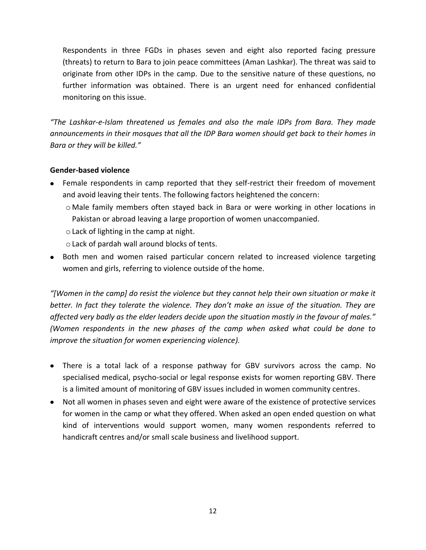Respondents in three FGDs in phases seven and eight also reported facing pressure (threats) to return to Bara to join peace committees (Aman Lashkar). The threat was said to originate from other IDPs in the camp. Due to the sensitive nature of these questions, no further information was obtained. There is an urgent need for enhanced confidential monitoring on this issue.

*"The Lashkar-e-Islam threatened us females and also the male IDPs from Bara. They made announcements in their mosques that all the IDP Bara women should get back to their homes in Bara or they will be killed."*

#### **Gender-based violence**

- Female respondents in camp reported that they self-restrict their freedom of movement and avoid leaving their tents. The following factors heightened the concern:
	- o Male family members often stayed back in Bara or were working in other locations in Pakistan or abroad leaving a large proportion of women unaccompanied.
	- oLack of lighting in the camp at night.
	- oLack of pardah wall around blocks of tents.
- Both men and women raised particular concern related to increased violence targeting women and girls, referring to violence outside of the home.

*"[Women in the camp] do resist the violence but they cannot help their own situation or make it better. In fact they tolerate the violence. They don't make an issue of the situation. They are affected very badly as the elder leaders decide upon the situation mostly in the favour of males." (Women respondents in the new phases of the camp when asked what could be done to improve the situation for women experiencing violence).* 

- There is a total lack of a response pathway for GBV survivors across the camp. No specialised medical, psycho-social or legal response exists for women reporting GBV. There is a limited amount of monitoring of GBV issues included in women community centres.
- Not all women in phases seven and eight were aware of the existence of protective services for women in the camp or what they offered. When asked an open ended question on what kind of interventions would support women, many women respondents referred to handicraft centres and/or small scale business and livelihood support.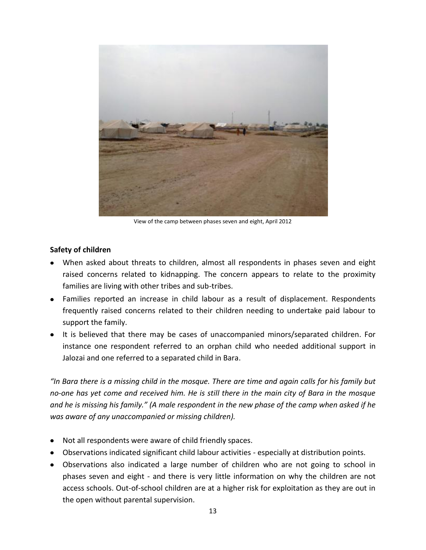

View of the camp between phases seven and eight, April 2012

#### **Safety of children**

- When asked about threats to children, almost all respondents in phases seven and eight raised concerns related to kidnapping. The concern appears to relate to the proximity families are living with other tribes and sub-tribes.
- Families reported an increase in child labour as a result of displacement. Respondents frequently raised concerns related to their children needing to undertake paid labour to support the family.
- It is believed that there may be cases of unaccompanied minors/separated children. For instance one respondent referred to an orphan child who needed additional support in Jalozai and one referred to a separated child in Bara.

*"In Bara there is a missing child in the mosque. There are time and again calls for his family but no-one has yet come and received him. He is still there in the main city of Bara in the mosque and he is missing his family." (A male respondent in the new phase of the camp when asked if he was aware of any unaccompanied or missing children).* 

- Not all respondents were aware of child friendly spaces.
- Observations indicated significant child labour activities especially at distribution points.
- Observations also indicated a large number of children who are not going to school in phases seven and eight - and there is very little information on why the children are not access schools. Out-of-school children are at a higher risk for exploitation as they are out in the open without parental supervision.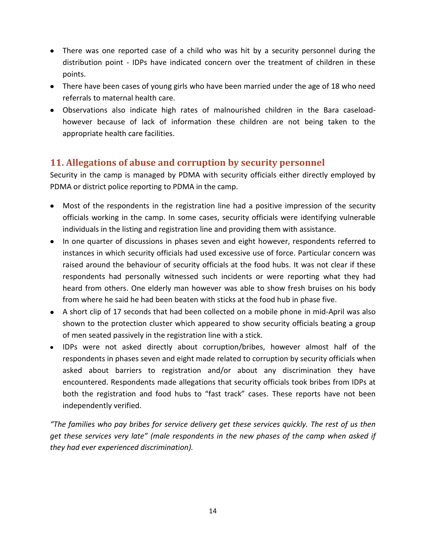- There was one reported case of a child who was hit by a security personnel during the distribution point - IDPs have indicated concern over the treatment of children in these points.
- There have been cases of young girls who have been married under the age of 18 who need referrals to maternal health care.
- Observations also indicate high rates of malnourished children in the Bara caseloadhowever because of lack of information these children are not being taken to the appropriate health care facilities.

### <span id="page-13-0"></span>**11. Allegations of abuse and corruption by security personnel**

Security in the camp is managed by PDMA with security officials either directly employed by PDMA or district police reporting to PDMA in the camp.

- Most of the respondents in the registration line had a positive impression of the security officials working in the camp. In some cases, security officials were identifying vulnerable individuals in the listing and registration line and providing them with assistance.
- In one quarter of discussions in phases seven and eight however, respondents referred to instances in which security officials had used excessive use of force. Particular concern was raised around the behaviour of security officials at the food hubs. It was not clear if these respondents had personally witnessed such incidents or were reporting what they had heard from others. One elderly man however was able to show fresh bruises on his body from where he said he had been beaten with sticks at the food hub in phase five.
- A short clip of 17 seconds that had been collected on a mobile phone in mid-April was also shown to the protection cluster which appeared to show security officials beating a group of men seated passively in the registration line with a stick.
- IDPs were not asked directly about corruption/bribes, however almost half of the respondents in phases seven and eight made related to corruption by security officials when asked about barriers to registration and/or about any discrimination they have encountered. Respondents made allegations that security officials took bribes from IDPs at both the registration and food hubs to "fast track" cases. These reports have not been independently verified.

*"The families who pay bribes for service delivery get these services quickly. The rest of us then get these services very late" (male respondents in the new phases of the camp when asked if they had ever experienced discrimination).*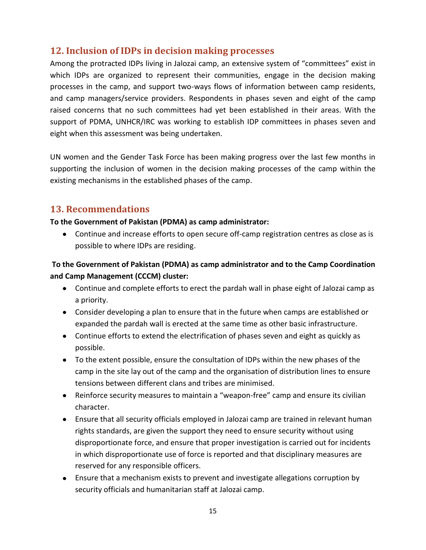### <span id="page-14-0"></span>**12. Inclusion of IDPs in decision making processes**

Among the protracted IDPs living in Jalozai camp, an extensive system of "committees" exist in which IDPs are organized to represent their communities, engage in the decision making processes in the camp, and support two-ways flows of information between camp residents, and camp managers/service providers. Respondents in phases seven and eight of the camp raised concerns that no such committees had yet been established in their areas. With the support of PDMA, UNHCR/IRC was working to establish IDP committees in phases seven and eight when this assessment was being undertaken.

UN women and the Gender Task Force has been making progress over the last few months in supporting the inclusion of women in the decision making processes of the camp within the existing mechanisms in the established phases of the camp.

### <span id="page-14-1"></span>**13. Recommendations**

#### **To the Government of Pakistan (PDMA) as camp administrator:**

Continue and increase efforts to open secure off-camp registration centres as close as is possible to where IDPs are residing.

### **To the Government of Pakistan (PDMA) as camp administrator and to the Camp Coordination and Camp Management (CCCM) cluster:**

- Continue and complete efforts to erect the pardah wall in phase eight of Jalozai camp as a priority.
- Consider developing a plan to ensure that in the future when camps are established or expanded the pardah wall is erected at the same time as other basic infrastructure.
- Continue efforts to extend the electrification of phases seven and eight as quickly as possible.
- To the extent possible, ensure the consultation of IDPs within the new phases of the camp in the site lay out of the camp and the organisation of distribution lines to ensure tensions between different clans and tribes are minimised.
- Reinforce security measures to maintain a "weapon-free" camp and ensure its civilian character.
- Ensure that all security officials employed in Jalozai camp are trained in relevant human rights standards, are given the support they need to ensure security without using disproportionate force, and ensure that proper investigation is carried out for incidents in which disproportionate use of force is reported and that disciplinary measures are reserved for any responsible officers.
- Ensure that a mechanism exists to prevent and investigate allegations corruption by security officials and humanitarian staff at Jalozai camp.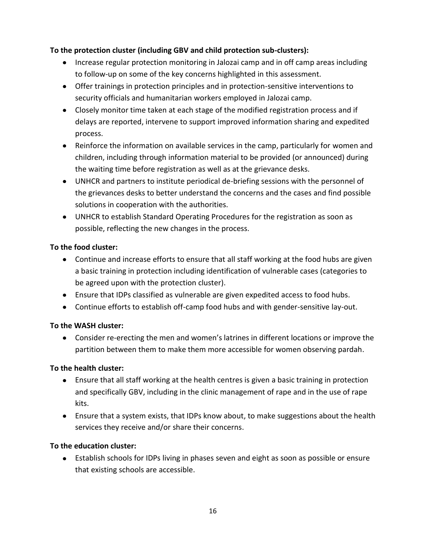### **To the protection cluster (including GBV and child protection sub-clusters):**

- Increase regular protection monitoring in Jalozai camp and in off camp areas including to follow-up on some of the key concerns highlighted in this assessment.
- Offer trainings in protection principles and in protection-sensitive interventions to security officials and humanitarian workers employed in Jalozai camp.
- Closely monitor time taken at each stage of the modified registration process and if delays are reported, intervene to support improved information sharing and expedited process.
- Reinforce the information on available services in the camp, particularly for women and children, including through information material to be provided (or announced) during the waiting time before registration as well as at the grievance desks.
- UNHCR and partners to institute periodical de-briefing sessions with the personnel of the grievances desks to better understand the concerns and the cases and find possible solutions in cooperation with the authorities.
- UNHCR to establish Standard Operating Procedures for the registration as soon as possible, reflecting the new changes in the process.

### **To the food cluster:**

- Continue and increase efforts to ensure that all staff working at the food hubs are given a basic training in protection including identification of vulnerable cases (categories to be agreed upon with the protection cluster).
- Ensure that IDPs classified as vulnerable are given expedited access to food hubs.
- Continue efforts to establish off-camp food hubs and with gender-sensitive lay-out.

#### **To the WASH cluster:**

Consider re-erecting the men and women's latrines in different locations or improve the partition between them to make them more accessible for women observing pardah.

#### **To the health cluster:**

- Ensure that all staff working at the health centres is given a basic training in protection and specifically GBV, including in the clinic management of rape and in the use of rape kits.
- Ensure that a system exists, that IDPs know about, to make suggestions about the health services they receive and/or share their concerns.

#### **To the education cluster:**

Establish schools for IDPs living in phases seven and eight as soon as possible or ensure that existing schools are accessible.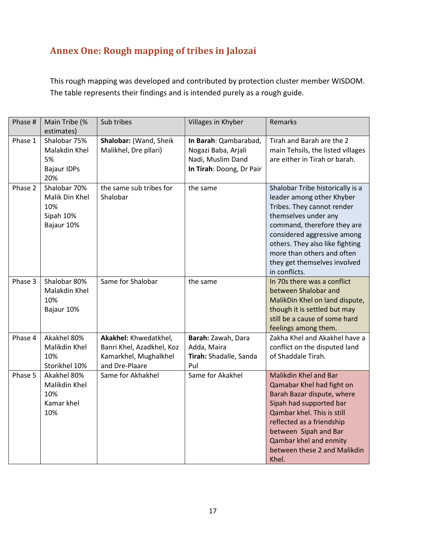## <span id="page-16-0"></span>**Annex One: Rough mapping of tribes in Jalozai**

This rough mapping was developed and contributed by protection cluster member WISDOM. The table represents their findings and is intended purely as a rough guide.

| Phase # | Main Tribe (%<br>estimates)                                      | Sub tribes                                                                                    | Villages in Khyber                                                                            | Remarks                                                                                                                                                                                                                                                                                             |
|---------|------------------------------------------------------------------|-----------------------------------------------------------------------------------------------|-----------------------------------------------------------------------------------------------|-----------------------------------------------------------------------------------------------------------------------------------------------------------------------------------------------------------------------------------------------------------------------------------------------------|
| Phase 1 | Shalobar 75%<br>Malakdin Khel<br>5%<br><b>Bajaur IDPs</b><br>20% | Shalobar: (Wand, Sheik<br>Malikhel, Dre pllari)                                               | In Barah: Qambarabad,<br>Nogazi Baba, Arjali<br>Nadi, Muslim Dand<br>In Tirah: Doong, Dr Pair | Tirah and Barah are the 2<br>main Tehsils, the listed villages<br>are either in Tirah or barah.                                                                                                                                                                                                     |
| Phase 2 | Shalobar 70%<br>Malik Din Khel<br>10%<br>Sipah 10%<br>Bajaur 10% | the same sub tribes for<br>Shalobar                                                           | the same                                                                                      | Shalobar Tribe historically is a<br>leader among other Khyber<br>Tribes. They cannot render<br>themselves under any<br>command, therefore they are<br>considered aggressive among<br>others. They also like fighting<br>more than others and often<br>they get themselves involved<br>in conflicts. |
| Phase 3 | Shalobar 80%<br>Malakdin Khel<br>10%<br>Bajaur 10%               | Same for Shalobar                                                                             | the same                                                                                      | In 70s there was a conflict<br>between Shalobar and<br>MalikDin Khel on land dispute,<br>though it is settled but may<br>still be a cause of some hard<br>feelings among them.                                                                                                                      |
| Phase 4 | Akakhel 80%<br>Malikdin Khel<br>10%<br>Storikhel 10%             | Akakhel: Khwedatkhel,<br>Banri Khel, Azadkhel, Koz<br>Kamarkhel, Mughalkhel<br>and Dre-Plaare | Barah: Zawah, Dara<br>Adda, Maira<br>Tirah: Shadalle, Sanda<br>Pul                            | Zakha Khel and Akakhel have a<br>conflict on the disputed land<br>of Shaddale Tirah.                                                                                                                                                                                                                |
| Phase 5 | Akakhel 80%<br>Malikdin Khel<br>10%<br>Kamar khel<br>10%         | Same for Akhakhel                                                                             | Same for Akakhel                                                                              | <b>Malikdin Khel and Bar</b><br>Qamabar Khel had fight on<br>Barah Bazar dispute, where<br>Sipah had supported bar<br>Qambar khel. This is still<br>reflected as a friendship<br>between Sipah and Bar<br>Qambar khel and enmity<br>between these 2 and Malikdin<br>Khel.                           |